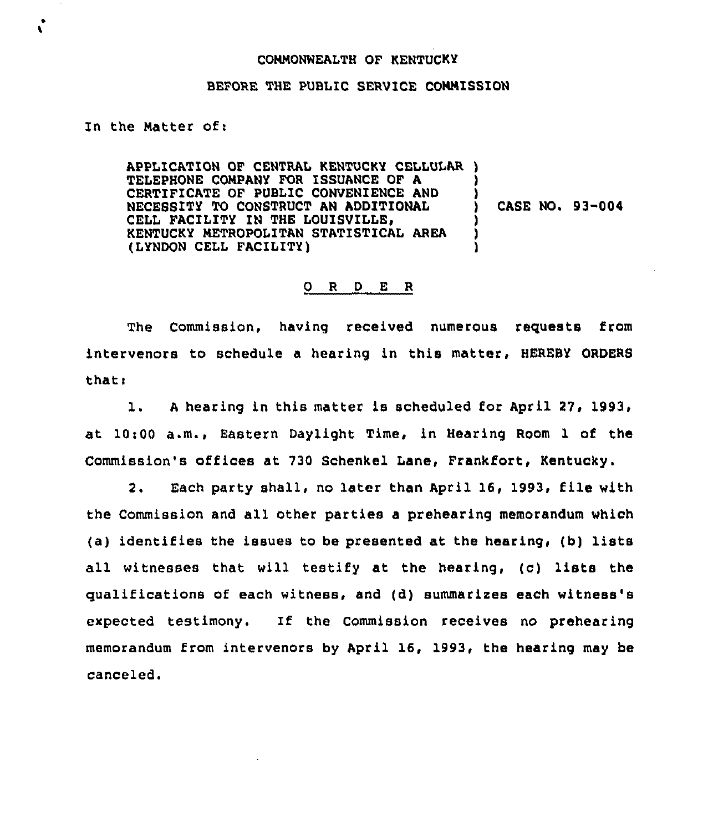## COMMONWEALTH OF KENTUCKY

## BEFORE THE PUBLIC SERVICE COMMISSION

## In the Matter of:

APPLICATION OF CENTRAL KENTUCKY CELLULAR ) TELEPHONE COMPANY FOR ISSUANCE OF A ) CERTIFICATE OF PUBLIC CONVENIENCE AND NECESSITY TO CONSTRUCT AN ADDITIONAL CELL FACILITY IN THE LOUISVILLE, KENTUCKY METROPOLITAN STATISTICAL AREA ) (LYNDON CELL FACILITY) ) CASE NO. 93-004

## 0 <sup>R</sup> <sup>D</sup> E R

The Commission, having received numerous requests from intervenors to schedule a hearing in this matter, HEREBY ORDERS thatt

1. A hearing in this matter is scheduled for April 27, 1993, at 10:00 a.m., Eastern Daylight Time, in Hearing Room 1 of the Commission's offices at 730 Schenkel Lane, Frankfort, Kentucky.

2. Each party shall, no later than April 16, 1993, file with the Commission and all other parties a prehearing memorandum which (a) identifies the issues to be presented at the hearing, (b) lists all witnesses that will testify at the hearing, (c) lists the qualifications of each witness, and (d) summarizes each witness's expected testimony. If the Commission receives no prehearing memorandum from intervenors by April 16, 1993, the hearing may be canceled.